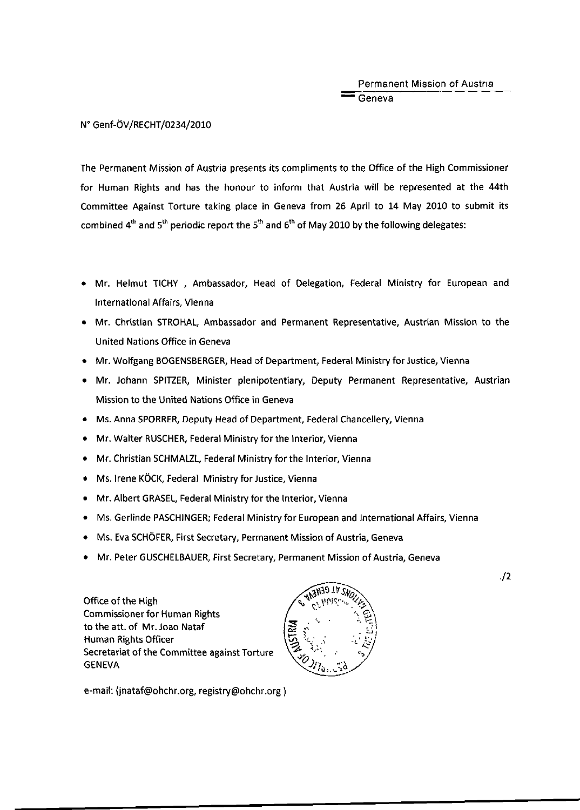Permanent Mission of Austria  $-$  Geneva

N° Genf-ÖV/RECHT/0234/2010

The Permanent Mission of Austria presents its compliments to the Office of the High Commissioner for Human Rights and has the honour to inform that Austria will be represented at the 44th Committee Against Torture taking place in Geneva from 26 April to 14 May 2010 to submit its combined 4<sup>th</sup> and 5<sup>th</sup> periodic report the 5<sup>th</sup> and 6<sup>th</sup> of May 2010 by the following delegates:

- Mr. Helmut TICHY , Ambassador, Head of Delegation, Federal Ministry for European and International Affairs, Vienna
- Mr. Christian STROHAL, Ambassador and Permanent Representative, Austrian Mission to the United Nations Office in Geneva
- Mr. Wolfgang BOGENSBERGER, Head of Department, Federal Ministry for Justice, Vienna
- Mr. Johann SPITZER, Minister plenipotentiary, Deputy Permanent Representative, Austrian Mission to the United Nations Office in Geneva
- Ms. Anna SPORRER, Deputy Head of Department, Federal Chancellery, Vienna
- Mr. Walter RUSCHER, Federal Ministry for the Interior, Vienna
- Mr. Christian SCHMALZL, Federal Ministry for the Interior, Vienna
- Ms. Irene KÖCK, Federal Ministry for Justice, Vienna
- Mr. Albert GRASEL, Federal Ministry for the Interior, Vienna
- Ms. Gerlinde PASCHINGER; Federal Ministry for European and International Affairs, Vienna
- Ms. Eva SCHÖFER, First Secretary, Permanent Mission of Austria, Geneva
- Mr. Peter GUSCHELBAUER, First Secretary, Permanent Mission of Austria, Geneva

Office of the High Commissioner for Human Rights to the att. of Mr. Joao Nataf Human Rights Officer Secretariat of the Committee against Torture  $\left\{\begin{matrix} \mathcal{L} & \mathcal{L}^1, & \mathcal{L}^2, & \mathcal{L}^3, & \mathcal{L}^4, & \mathcal{L}^5, & \mathcal{L}^6, & \mathcal{L}^7, & \mathcal{L}^7, & \mathcal{L}^7, & \mathcal{L}^7, & \mathcal{L}^7, & \mathcal{L}^7, & \mathcal{L}^7, & \mathcal{L}^7, & \mathcal{L}^7, & \mathcal{L}^7, &$ 



•/2

e-mail: (jnataf@ohchr.org, registry@ohchr.org )